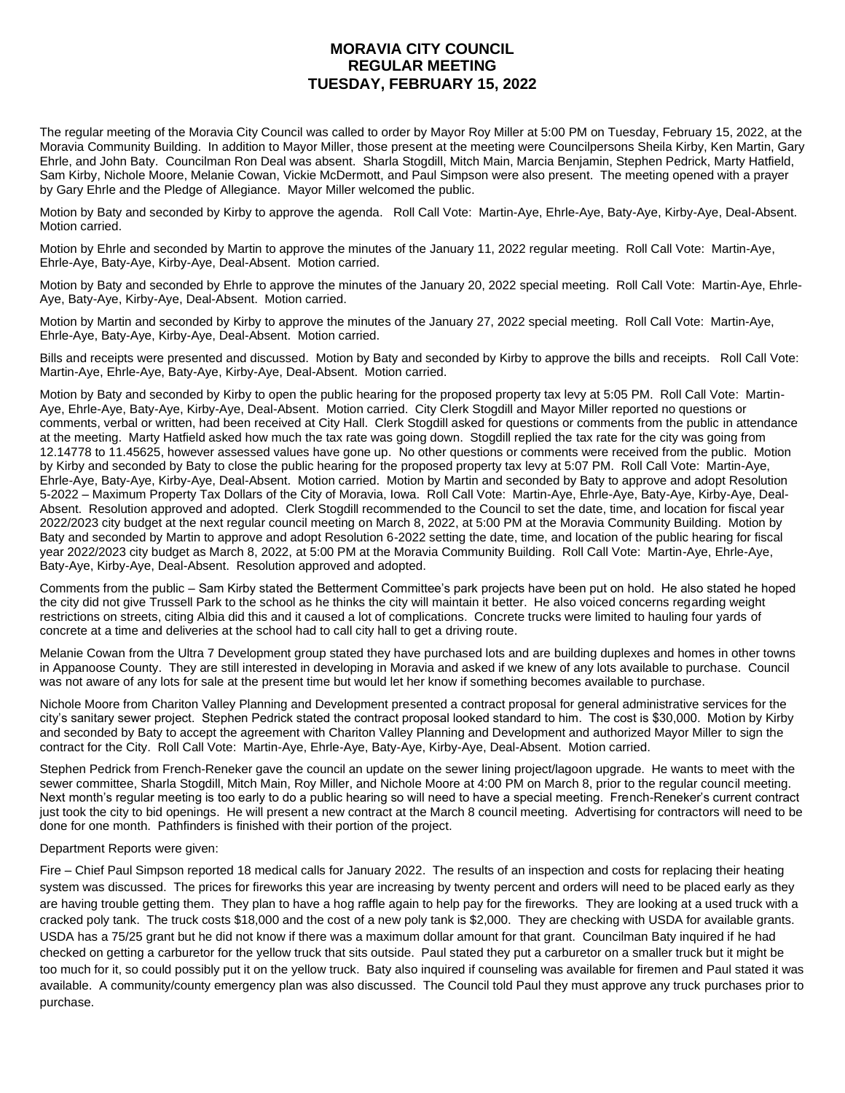## **MORAVIA CITY COUNCIL REGULAR MEETING TUESDAY, FEBRUARY 15, 2022**

The regular meeting of the Moravia City Council was called to order by Mayor Roy Miller at 5:00 PM on Tuesday, February 15, 2022, at the Moravia Community Building. In addition to Mayor Miller, those present at the meeting were Councilpersons Sheila Kirby, Ken Martin, Gary Ehrle, and John Baty. Councilman Ron Deal was absent. Sharla Stogdill, Mitch Main, Marcia Benjamin, Stephen Pedrick, Marty Hatfield, Sam Kirby, Nichole Moore, Melanie Cowan, Vickie McDermott, and Paul Simpson were also present. The meeting opened with a prayer by Gary Ehrle and the Pledge of Allegiance. Mayor Miller welcomed the public.

Motion by Baty and seconded by Kirby to approve the agenda. Roll Call Vote: Martin-Aye, Ehrle-Aye, Baty-Aye, Kirby-Aye, Deal-Absent. Motion carried.

Motion by Ehrle and seconded by Martin to approve the minutes of the January 11, 2022 regular meeting. Roll Call Vote: Martin-Aye, Ehrle-Aye, Baty-Aye, Kirby-Aye, Deal-Absent. Motion carried.

Motion by Baty and seconded by Ehrle to approve the minutes of the January 20, 2022 special meeting. Roll Call Vote: Martin-Aye, Ehrle-Aye, Baty-Aye, Kirby-Aye, Deal-Absent. Motion carried.

Motion by Martin and seconded by Kirby to approve the minutes of the January 27, 2022 special meeting. Roll Call Vote: Martin-Aye, Ehrle-Aye, Baty-Aye, Kirby-Aye, Deal-Absent. Motion carried.

Bills and receipts were presented and discussed. Motion by Baty and seconded by Kirby to approve the bills and receipts. Roll Call Vote: Martin-Aye, Ehrle-Aye, Baty-Aye, Kirby-Aye, Deal-Absent. Motion carried.

Motion by Baty and seconded by Kirby to open the public hearing for the proposed property tax levy at 5:05 PM. Roll Call Vote: Martin-Aye, Ehrle-Aye, Baty-Aye, Kirby-Aye, Deal-Absent. Motion carried. City Clerk Stogdill and Mayor Miller reported no questions or comments, verbal or written, had been received at City Hall. Clerk Stogdill asked for questions or comments from the public in attendance at the meeting. Marty Hatfield asked how much the tax rate was going down. Stogdill replied the tax rate for the city was going from 12.14778 to 11.45625, however assessed values have gone up. No other questions or comments were received from the public. Motion by Kirby and seconded by Baty to close the public hearing for the proposed property tax levy at 5:07 PM. Roll Call Vote: Martin-Aye, Ehrle-Aye, Baty-Aye, Kirby-Aye, Deal-Absent. Motion carried. Motion by Martin and seconded by Baty to approve and adopt Resolution 5-2022 – Maximum Property Tax Dollars of the City of Moravia, Iowa. Roll Call Vote: Martin-Aye, Ehrle-Aye, Baty-Aye, Kirby-Aye, Deal-Absent. Resolution approved and adopted. Clerk Stogdill recommended to the Council to set the date, time, and location for fiscal year 2022/2023 city budget at the next regular council meeting on March 8, 2022, at 5:00 PM at the Moravia Community Building. Motion by Baty and seconded by Martin to approve and adopt Resolution 6-2022 setting the date, time, and location of the public hearing for fiscal year 2022/2023 city budget as March 8, 2022, at 5:00 PM at the Moravia Community Building. Roll Call Vote: Martin-Aye, Ehrle-Aye, Baty-Aye, Kirby-Aye, Deal-Absent. Resolution approved and adopted.

Comments from the public – Sam Kirby stated the Betterment Committee's park projects have been put on hold. He also stated he hoped the city did not give Trussell Park to the school as he thinks the city will maintain it better. He also voiced concerns regarding weight restrictions on streets, citing Albia did this and it caused a lot of complications. Concrete trucks were limited to hauling four yards of concrete at a time and deliveries at the school had to call city hall to get a driving route.

Melanie Cowan from the Ultra 7 Development group stated they have purchased lots and are building duplexes and homes in other towns in Appanoose County. They are still interested in developing in Moravia and asked if we knew of any lots available to purchase. Council was not aware of any lots for sale at the present time but would let her know if something becomes available to purchase.

Nichole Moore from Chariton Valley Planning and Development presented a contract proposal for general administrative services for the city's sanitary sewer project. Stephen Pedrick stated the contract proposal looked standard to him. The cost is \$30,000. Motion by Kirby and seconded by Baty to accept the agreement with Chariton Valley Planning and Development and authorized Mayor Miller to sign the contract for the City. Roll Call Vote: Martin-Aye, Ehrle-Aye, Baty-Aye, Kirby-Aye, Deal-Absent. Motion carried.

Stephen Pedrick from French-Reneker gave the council an update on the sewer lining project/lagoon upgrade. He wants to meet with the sewer committee, Sharla Stogdill, Mitch Main, Roy Miller, and Nichole Moore at 4:00 PM on March 8, prior to the regular council meeting. Next month's regular meeting is too early to do a public hearing so will need to have a special meeting. French-Reneker's current contract just took the city to bid openings. He will present a new contract at the March 8 council meeting. Advertising for contractors will need to be done for one month. Pathfinders is finished with their portion of the project.

## Department Reports were given:

Fire – Chief Paul Simpson reported 18 medical calls for January 2022. The results of an inspection and costs for replacing their heating system was discussed. The prices for fireworks this year are increasing by twenty percent and orders will need to be placed early as they are having trouble getting them. They plan to have a hog raffle again to help pay for the fireworks. They are looking at a used truck with a cracked poly tank. The truck costs \$18,000 and the cost of a new poly tank is \$2,000. They are checking with USDA for available grants. USDA has a 75/25 grant but he did not know if there was a maximum dollar amount for that grant. Councilman Baty inquired if he had checked on getting a carburetor for the yellow truck that sits outside. Paul stated they put a carburetor on a smaller truck but it might be too much for it, so could possibly put it on the yellow truck. Baty also inquired if counseling was available for firemen and Paul stated it was available. A community/county emergency plan was also discussed. The Council told Paul they must approve any truck purchases prior to purchase.